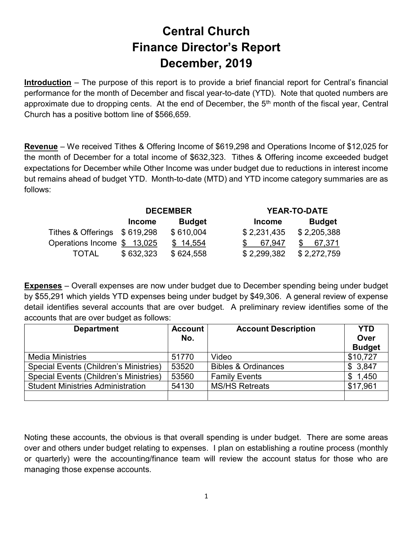## Central Church Finance Director's Report December, 2019

Introduction – The purpose of this report is to provide a brief financial report for Central's financial performance for the month of December and fiscal year-to-date (YTD). Note that quoted numbers are approximate due to dropping cents. At the end of December, the  $5<sup>th</sup>$  month of the fiscal year, Central Church has a positive bottom line of \$566,659.

Revenue – We received Tithes & Offering Income of \$619,298 and Operations Income of \$12,025 for the month of December for a total income of \$632,323. Tithes & Offering income exceeded budget expectations for December while Other Income was under budget due to reductions in interest income but remains ahead of budget YTD. Month-to-date (MTD) and YTD income category summaries are as follows:

|                              | <b>DECEMBER</b> |               |               | <b>YEAR-TO-DATE</b> |  |
|------------------------------|-----------------|---------------|---------------|---------------------|--|
|                              | <b>Income</b>   | <b>Budget</b> | <b>Income</b> | <b>Budget</b>       |  |
| Tithes & Offerings \$619,298 |                 | \$610,004     | \$2,231,435   | \$2,205,388         |  |
| Operations Income \$13,025   |                 | \$14,554      | 67.947        | 67,371              |  |
| <b>TOTAL</b>                 | \$632,323       | \$624,558     | \$2,299,382   | \$2,272,759         |  |

Expenses – Overall expenses are now under budget due to December spending being under budget by \$55,291 which yields YTD expenses being under budget by \$49,306. A general review of expense detail identifies several accounts that are over budget. A preliminary review identifies some of the accounts that are over budget as follows:

| <b>Department</b>                             | <b>Account</b> | <b>Account Description</b>     | <b>YTD</b>    |
|-----------------------------------------------|----------------|--------------------------------|---------------|
|                                               | No.            |                                | Over          |
|                                               |                |                                | <b>Budget</b> |
| <b>Media Ministries</b>                       | 51770          | Video                          | \$10,727      |
| Special Events (Children's Ministries)        | 53520          | <b>Bibles &amp; Ordinances</b> | 3,847         |
| <b>Special Events (Children's Ministries)</b> | 53560          | <b>Family Events</b>           | 1,450<br>S    |
| <b>Student Ministries Administration</b>      | 54130          | <b>MS/HS Retreats</b>          | \$17,961      |
|                                               |                |                                |               |

Noting these accounts, the obvious is that overall spending is under budget. There are some areas over and others under budget relating to expenses. I plan on establishing a routine process (monthly or quarterly) were the accounting/finance team will review the account status for those who are managing those expense accounts.